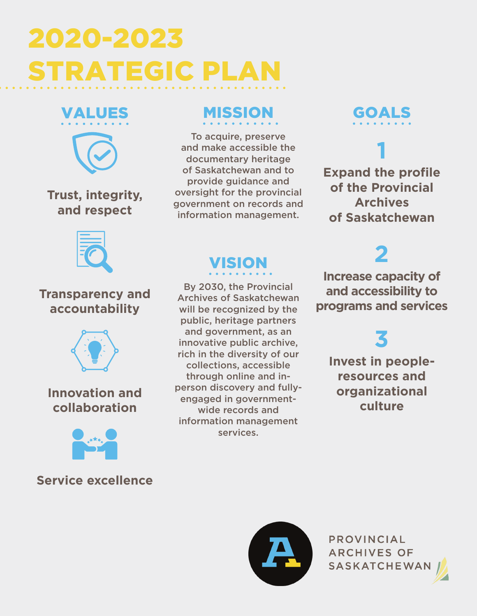# 2020-2023 STRATEGIC PLAN



**Trust, integrity, and respect**

### MISSION

To acquire, preserve and make accessible the documentary heritage of Saskatchewan and to provide guidance and oversight for the provincial government on records and information management.

GOALS

**1 Expand the profile of the Provincial Archives of Saskatchewan**



#### **Transparency and accountability**



### **Innovation and collaboration**



#### **Service excellence**

### VISION

By 2030, the Provincial Archives of Saskatchewan will be recognized by the public, heritage partners and government, as an innovative public archive, rich in the diversity of our collections, accessible through online and inperson discovery and fullyengaged in governmentwide records and information management services.

**2 Increase capacity of and accessibility to programs and services**

# **3**

**Invest in peopleresources and organizational culture**



PROVINCIAL **ARCHIVES OF SASKATCHEWAN**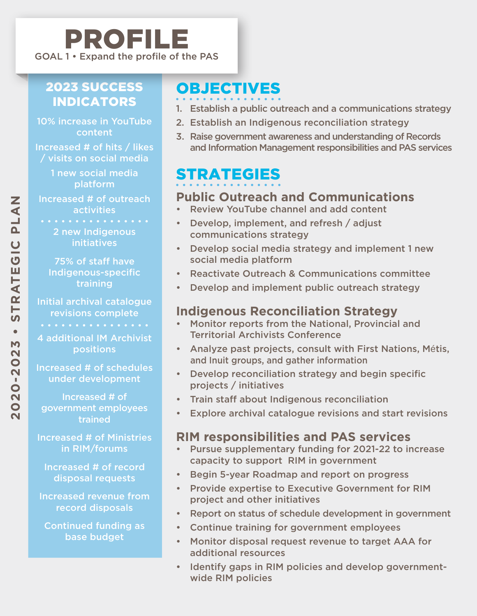### 2023 SUCCESS **INDICATORS**

10% increase in YouTube content

Increased # of hits / likes / visits on social media

> 1 new social media platform

Increased # of outreach activities

> 2 new Indigenous **initiatives**

75% of staff have Indigenous-specific training

Initial archival catalogue revisions complete

4 additional IM Archivist positions

Increased # of schedules under development

Increased # of government employees trained

Increased # of Ministries in RIM/forums

Increased # of record disposal requests

Increased revenue from record disposals

Continued funding as base budget

### OBJECTIVES

- 1. Establish a public outreach and a communications strategy
- 2. Establish an Indigenous reconciliation strategy
- 3. Raise government awareness and understanding of Records and Information Management responsibilities and PAS services

### STRATEGIES

### **Public Outreach and Communications**

- Review YouTube channel and add content
- Develop, implement, and refresh / adjust communications strategy
- Develop social media strategy and implement 1 new social media platform
- Reactivate Outreach & Communications committee
- Develop and implement public outreach strategy

#### **Indigenous Reconciliation Strategy**

- Monitor reports from the National, Provincial and Territorial Archivists Conference
- Analyze past projects, consult with First Nations, Métis, and Inuit groups, and gather information
- Develop reconciliation strategy and begin specific projects / initiatives
- Train staff about Indigenous reconciliation
- Explore archival catalogue revisions and start revisions

#### **RIM responsibilities and PAS services**

- Pursue supplementary funding for 2021-22 to increase capacity to support RIM in government
- Begin 5-year Roadmap and report on progress
- Provide expertise to Executive Government for RIM project and other initiatives
- Report on status of schedule development in government
- Continue training for government employees
- Monitor disposal request revenue to target AAA for additional resources
- Identify gaps in RIM policies and develop governmentwide RIM policies

 $\overline{\mathbf{N}}$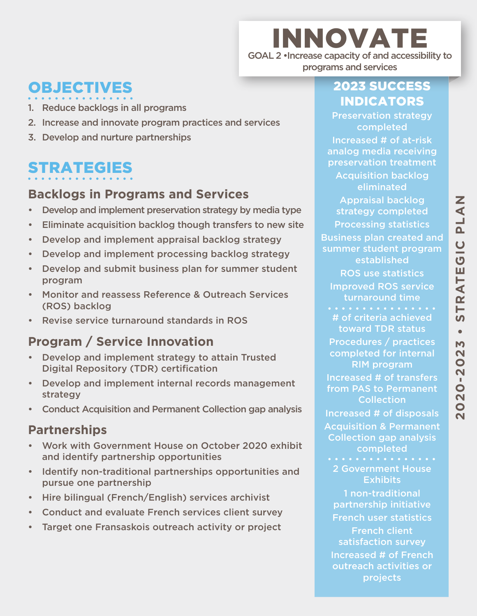### OBJECTIVES

- 1. Reduce backlogs in all programs
- 2. Increase and innovate program practices and services
- 3. Develop and nurture partnerships

### STRATEGIES

#### **Backlogs in Programs and Services**

- Develop and implement preservation strategy by media type
- Eliminate acquisition backlog though transfers to new site
- Develop and implement appraisal backlog strategy
- Develop and implement processing backlog strategy
- Develop and submit business plan for summer student program
- Monitor and reassess Reference & Outreach Services (ROS) backlog
- Revise service turnaround standards in ROS

### **Program / Service Innovation**

- Develop and implement strategy to attain Trusted Digital Repository (TDR) certification
- Develop and implement internal records management strategy
- Conduct Acquisition and Permanent Collection gap analysis

#### **Partnerships**

- Work with Government House on October 2020 exhibit and identify partnership opportunities
- Identify non-traditional partnerships opportunities and pursue one partnership
- Hire bilingual (French/English) services archivist
- Conduct and evaluate French services client survey
- Target one Fransaskois outreach activity or project

### 2023 SUCCESS INDICATORS

INNOVATE

GOAL 2 •Increase capacity of and accessibility to programs and services

> Preservation strategy completed

Increased # of at-risk analog media receiving preservation treatment

Acquisition backlog eliminated

Appraisal backlog strategy completed Processing statistics Business plan created and summer student program established ROS use statistics Improved ROS service turnaround time . . . . . . . . . . # of criteria achieved toward TDR status Procedures / practices completed for internal RIM program Increased # of transfers from PAS to Permanent **Collection** Increased # of disposals Acquisition & Permanent Collection gap analysis completed 2 Government House Exhibits

1 non-traditional partnership initiative French user statistics French client satisfaction survey Increased # of French outreach activities or projects